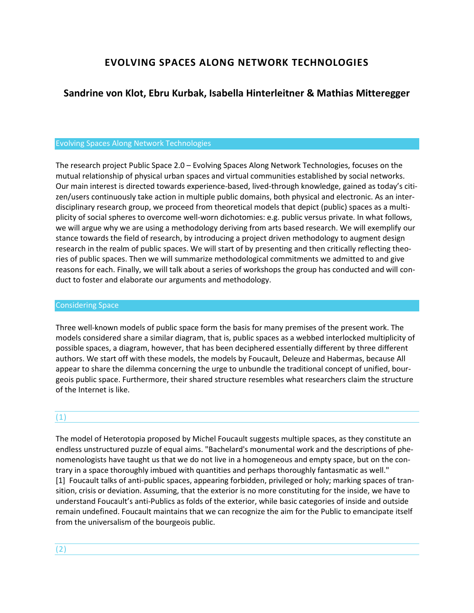# **EVOLVING SPACES ALONG NETWORK TECHNOLOGIES**

# **Sandrine von Klot, Ebru Kurbak, Isabella Hinterleitner & Mathias Mitteregger**

## Evolving Spaces Along Network Technologies

The research project Public Space 2.0 – Evolving Spaces Along Network Technologies, focuses on the mutual relationship of physical urban spaces and virtual communities established by social networks. Our main interest is directed towards experience-based, lived-through knowledge, gained as today's citizen/users continuously take action in multiple public domains, both physical and electronic. As an interdisciplinary research group, we proceed from theoretical models that depict (public) spaces as a multiplicity of social spheres to overcome well-worn dichotomies: e.g. public versus private. In what follows, we will argue why we are using a methodology deriving from arts based research. We will exemplify our stance towards the field of research, by introducing a project driven methodology to augment design research in the realm of public spaces. We will start of by presenting and then critically reflecting theories of public spaces. Then we will summarize methodological commitments we admitted to and give reasons for each. Finally, we will talk about a series of workshops the group has conducted and will conduct to foster and elaborate our arguments and methodology.

### Considering Space

Three well-known models of public space form the basis for many premises of the present work. The models considered share a similar diagram, that is, public spaces as a webbed interlocked multiplicity of possible spaces, a diagram, however, that has been deciphered essentially different by three different authors. We start off with these models, the models by Foucault, Deleuze and Habermas, because All appear to share the dilemma concerning the urge to unbundle the traditional concept of unified, bourgeois public space. Furthermore, their shared structure resembles what researchers claim the structure of the Internet is like.

# (1)

The model of Heterotopia proposed by Michel Foucault suggests multiple spaces, as they constitute an endless unstructured puzzle of equal aims. "Bachelard's monumental work and the descriptions of phenomenologists have taught us that we do not live in a homogeneous and empty space, but on the contrary in a space thoroughly imbued with quantities and perhaps thoroughly fantasmatic as well." [1] Foucault talks of anti-public spaces, appearing forbidden, privileged or holy; marking spaces of transition, crisis or deviation. Assuming, that the exterior is no more constituting for the inside, we have to understand Foucault's anti-Publics as folds of the exterior, while basic categories of inside and outside remain undefined. Foucault maintains that we can recognize the aim for the Public to emancipate itself from the universalism of the bourgeois public.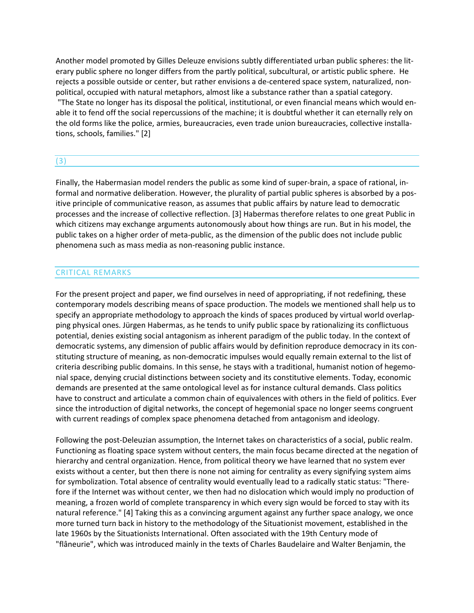Another model promoted by Gilles Deleuze envisions subtly differentiated urban public spheres: the literary public sphere no longer differs from the partly political, subcultural, or artistic public sphere. He rejects a possible outside or center, but rather envisions a de-centered space system, naturalized, nonpolitical, occupied with natural metaphors, almost like a substance rather than a spatial category. "The State no longer has its disposal the political, institutional, or even financial means which would en-

able it to fend off the social repercussions of the machine; it is doubtful whether it can eternally rely on the old forms like the police, armies, bureaucracies, even trade union bureaucracies, collective installations, schools, families." [2]

## (3)

Finally, the Habermasian model renders the public as some kind of super-brain, a space of rational, informal and normative deliberation. However, the plurality of partial public spheres is absorbed by a positive principle of communicative reason, as assumes that public affairs by nature lead to democratic processes and the increase of collective reflection. [3] Habermas therefore relates to one great Public in which citizens may exchange arguments autonomously about how things are run. But in his model, the public takes on a higher order of meta-public, as the dimension of the public does not include public phenomena such as mass media as non-reasoning public instance.

## CRITICAL REMARKS

For the present project and paper, we find ourselves in need of appropriating, if not redefining, these contemporary models describing means of space production. The models we mentioned shall help us to specify an appropriate methodology to approach the kinds of spaces produced by virtual world overlapping physical ones. Jürgen Habermas, as he tends to unify public space by rationalizing its conflictuous potential, denies existing social antagonism as inherent paradigm of the public today. In the context of democratic systems, any dimension of public affairs would by definition reproduce democracy in its constituting structure of meaning, as non-democratic impulses would equally remain external to the list of criteria describing public domains. In this sense, he stays with a traditional, humanist notion of hegemonial space, denying crucial distinctions between society and its constitutive elements. Today, economic demands are presented at the same ontological level as for instance cultural demands. Class politics have to construct and articulate a common chain of equivalences with others in the field of politics. Ever since the introduction of digital networks, the concept of hegemonial space no longer seems congruent with current readings of complex space phenomena detached from antagonism and ideology.

Following the post-Deleuzian assumption, the Internet takes on characteristics of a social, public realm. Functioning as floating space system without centers, the main focus became directed at the negation of hierarchy and central organization. Hence, from political theory we have learned that no system ever exists without a center, but then there is none not aiming for centrality as every signifying system aims for symbolization. Total absence of centrality would eventually lead to a radically static status: "Therefore if the Internet was without center, we then had no dislocation which would imply no production of meaning, a frozen world of complete transparency in which every sign would be forced to stay with its natural reference." [4] Taking this as a convincing argument against any further space analogy, we once more turned turn back in history to the methodology of the Situationist movement, established in the late 1960s by the Situationists International. Often associated with the 19th Century mode of "flâneurie", which was introduced mainly in the texts of Charles Baudelaire and Walter Benjamin, the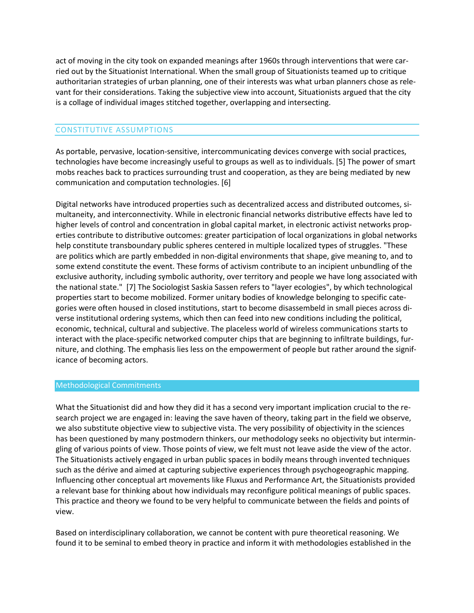act of moving in the city took on expanded meanings after 1960s through interventions that were carried out by the Situationist International. When the small group of Situationists teamed up to critique authoritarian strategies of urban planning, one of their interests was what urban planners chose as relevant for their considerations. Taking the subjective view into account, Situationists argued that the city is a collage of individual images stitched together, overlapping and intersecting.

## CONSTITUTIVE ASSUMPTIONS

As portable, pervasive, location-sensitive, intercommunicating devices converge with social practices, technologies have become increasingly useful to groups as well as to individuals. [5] The power of smart mobs reaches back to practices surrounding trust and cooperation, as they are being mediated by new communication and computation technologies. [6]

Digital networks have introduced properties such as decentralized access and distributed outcomes, simultaneity, and interconnectivity. While in electronic financial networks distributive effects have led to higher levels of control and concentration in global capital market, in electronic activist networks properties contribute to distributive outcomes: greater participation of local organizations in global networks help constitute transboundary public spheres centered in multiple localized types of struggles. "These are politics which are partly embedded in non-digital environments that shape, give meaning to, and to some extend constitute the event. These forms of activism contribute to an incipient unbundling of the exclusive authority, including symbolic authority, over territory and people we have long associated with the national state." [7] The Sociologist Saskia Sassen refers to "layer ecologies", by which technological properties start to become mobilized. Former unitary bodies of knowledge belonging to specific categories were often housed in closed institutions, start to become disassembeld in small pieces across diverse institutional ordering systems, which then can feed into new conditions including the political, economic, technical, cultural and subjective. The placeless world of wireless communications starts to interact with the place-specific networked computer chips that are beginning to infiltrate buildings, furniture, and clothing. The emphasis lies less on the empowerment of people but rather around the significance of becoming actors.

### Methodological Commitments

What the Situationist did and how they did it has a second very important implication crucial to the research project we are engaged in: leaving the save haven of theory, taking part in the field we observe, we also substitute objective view to subjective vista. The very possibility of objectivity in the sciences has been questioned by many postmodern thinkers, our methodology seeks no objectivity but intermingling of various points of view. Those points of view, we felt must not leave aside the view of the actor. The Situationists actively engaged in urban public spaces in bodily means through invented techniques such as the dérive and aimed at capturing subjective experiences through psychogeographic mapping. Influencing other conceptual art movements like Fluxus and Performance Art, the Situationists provided a relevant base for thinking about how individuals may reconfigure political meanings of public spaces. This practice and theory we found to be very helpful to communicate between the fields and points of view.

Based on interdisciplinary collaboration, we cannot be content with pure theoretical reasoning. We found it to be seminal to embed theory in practice and inform it with methodologies established in the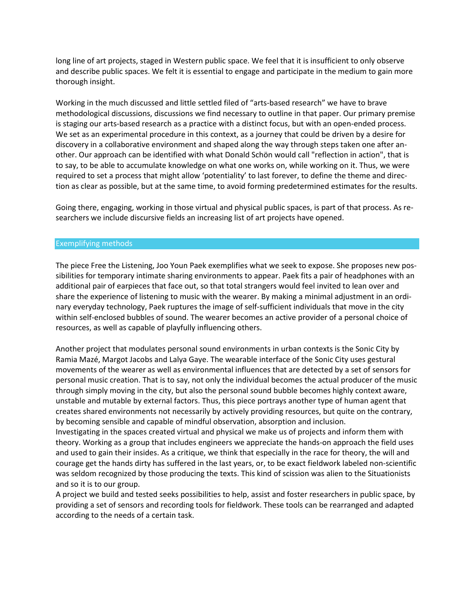long line of art projects, staged in Western public space. We feel that it is insufficient to only observe and describe public spaces. We felt it is essential to engage and participate in the medium to gain more thorough insight.

Working in the much discussed and little settled filed of "arts-based research" we have to brave methodological discussions, discussions we find necessary to outline in that paper. Our primary premise is staging our arts-based research as a practice with a distinct focus, but with an open-ended process. We set as an experimental procedure in this context, as a journey that could be driven by a desire for discovery in a collaborative environment and shaped along the way through steps taken one after another. Our approach can be identified with what Donald Schön would call "reflection in action", that is to say, to be able to accumulate knowledge on what one works on, while working on it. Thus, we were required to set a process that might allow 'potentiality' to last forever, to define the theme and direction as clear as possible, but at the same time, to avoid forming predetermined estimates for the results.

Going there, engaging, working in those virtual and physical public spaces, is part of that process. As researchers we include discursive fields an increasing list of art projects have opened.

#### Exemplifying methods

The piece Free the Listening, Joo Youn Paek exemplifies what we seek to expose. She proposes new possibilities for temporary intimate sharing environments to appear. Paek fits a pair of headphones with an additional pair of earpieces that face out, so that total strangers would feel invited to lean over and share the experience of listening to music with the wearer. By making a minimal adjustment in an ordinary everyday technology, Paek ruptures the image of self-sufficient individuals that move in the city within self-enclosed bubbles of sound. The wearer becomes an active provider of a personal choice of resources, as well as capable of playfully influencing others.

Another project that modulates personal sound environments in urban contexts is the Sonic City by Ramia Mazé, Margot Jacobs and Lalya Gaye. The wearable interface of the Sonic City uses gestural movements of the wearer as well as environmental influences that are detected by a set of sensors for personal music creation. That is to say, not only the individual becomes the actual producer of the music through simply moving in the city, but also the personal sound bubble becomes highly context aware, unstable and mutable by external factors. Thus, this piece portrays another type of human agent that creates shared environments not necessarily by actively providing resources, but quite on the contrary, by becoming sensible and capable of mindful observation, absorption and inclusion.

Investigating in the spaces created virtual and physical we make us of projects and inform them with theory. Working as a group that includes engineers we appreciate the hands-on approach the field uses and used to gain their insides. As a critique, we think that especially in the race for theory, the will and courage get the hands dirty has suffered in the last years, or, to be exact fieldwork labeled non-scientific was seldom recognized by those producing the texts. This kind of scission was alien to the Situationists and so it is to our group.

A project we build and tested seeks possibilities to help, assist and foster researchers in public space, by providing a set of sensors and recording tools for fieldwork. These tools can be rearranged and adapted according to the needs of a certain task.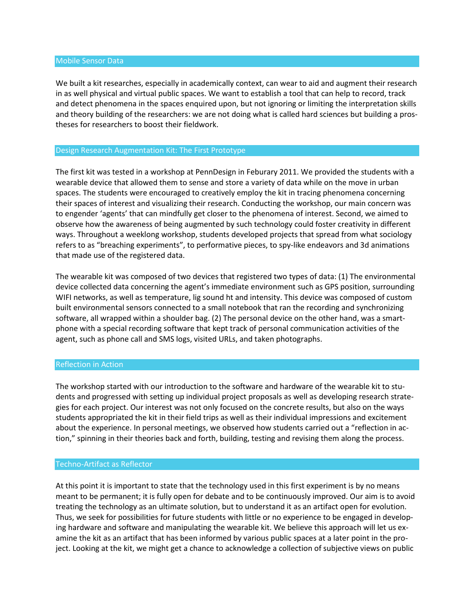#### Mobile Sensor Data

We built a kit researches, especially in academically context, can wear to aid and augment their research in as well physical and virtual public spaces. We want to establish a tool that can help to record, track and detect phenomena in the spaces enquired upon, but not ignoring or limiting the interpretation skills and theory building of the researchers: we are not doing what is called hard sciences but building a prostheses for researchers to boost their fieldwork.

### Design Research Augmentation Kit: The First Prototype

The first kit was tested in a workshop at PennDesign in Feburary 2011. We provided the students with a wearable device that allowed them to sense and store a variety of data while on the move in urban spaces. The students were encouraged to creatively employ the kit in tracing phenomena concerning their spaces of interest and visualizing their research. Conducting the workshop, our main concern was to engender 'agents' that can mindfully get closer to the phenomena of interest. Second, we aimed to observe how the awareness of being augmented by such technology could foster creativity in different ways. Throughout a weeklong workshop, students developed projects that spread from what sociology refers to as "breaching experiments", to performative pieces, to spy-like endeavors and 3d animations that made use of the registered data.

The wearable kit was composed of two devices that registered two types of data: (1) The environmental device collected data concerning the agent's immediate environment such as GPS position, surrounding WIFI networks, as well as temperature, lig sound ht and intensity. This device was composed of custom built environmental sensors connected to a small notebook that ran the recording and synchronizing software, all wrapped within a shoulder bag. (2) The personal device on the other hand, was a smartphone with a special recording software that kept track of personal communication activities of the agent, such as phone call and SMS logs, visited URLs, and taken photographs.

#### Reflection in Action

The workshop started with our introduction to the software and hardware of the wearable kit to students and progressed with setting up individual project proposals as well as developing research strategies for each project. Our interest was not only focused on the concrete results, but also on the ways students appropriated the kit in their field trips as well as their individual impressions and excitement about the experience. In personal meetings, we observed how students carried out a "reflection in action," spinning in their theories back and forth, building, testing and revising them along the process.

#### Techno-Artifact as Reflector

At this point it is important to state that the technology used in this first experiment is by no means meant to be permanent; it is fully open for debate and to be continuously improved. Our aim is to avoid treating the technology as an ultimate solution, but to understand it as an artifact open for evolution. Thus, we seek for possibilities for future students with little or no experience to be engaged in developing hardware and software and manipulating the wearable kit. We believe this approach will let us examine the kit as an artifact that has been informed by various public spaces at a later point in the project. Looking at the kit, we might get a chance to acknowledge a collection of subjective views on public